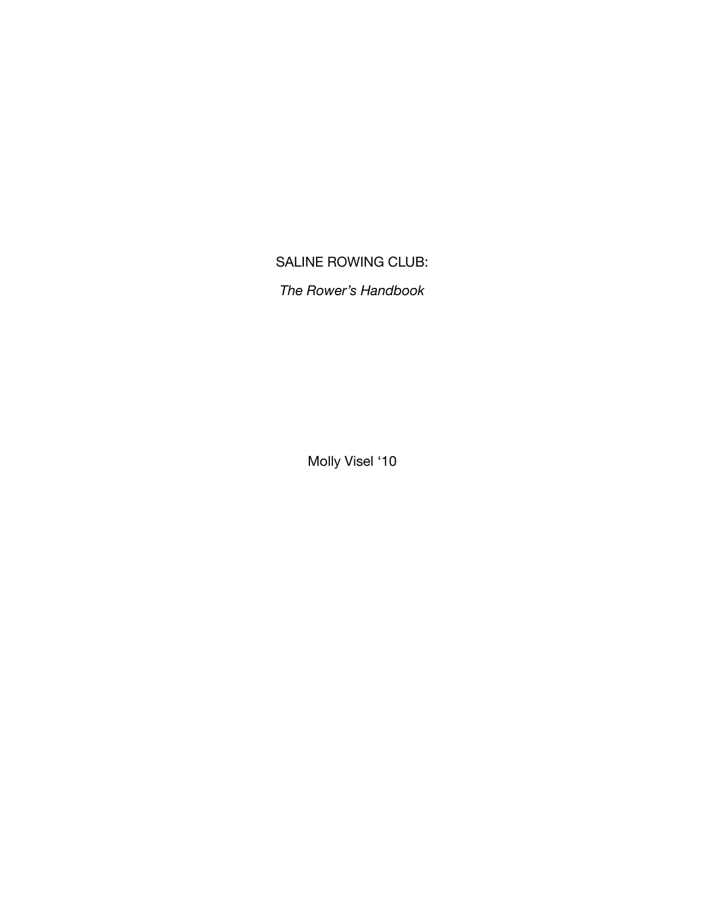# SALINE ROWING CLUB:

*The Rower's Handbook*

Molly Visel '10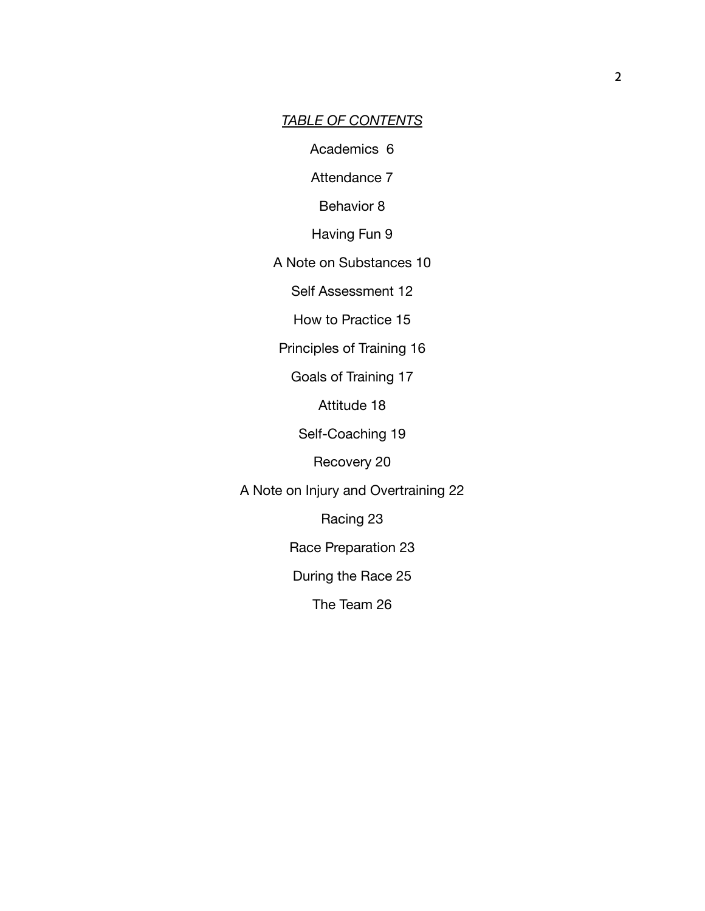#### *TABLE OF CONTENTS*

Academics 6

Attendance 7

Behavior 8

Having Fun 9

A Note on Substances 10

Self Assessment 12

How to Practice 15

Principles of Training 16

Goals of Training 17

Attitude 18

Self-Coaching 19

Recovery 20

A Note on Injury and Overtraining 22

Racing 23

Race Preparation 23

During the Race 25

The Team 26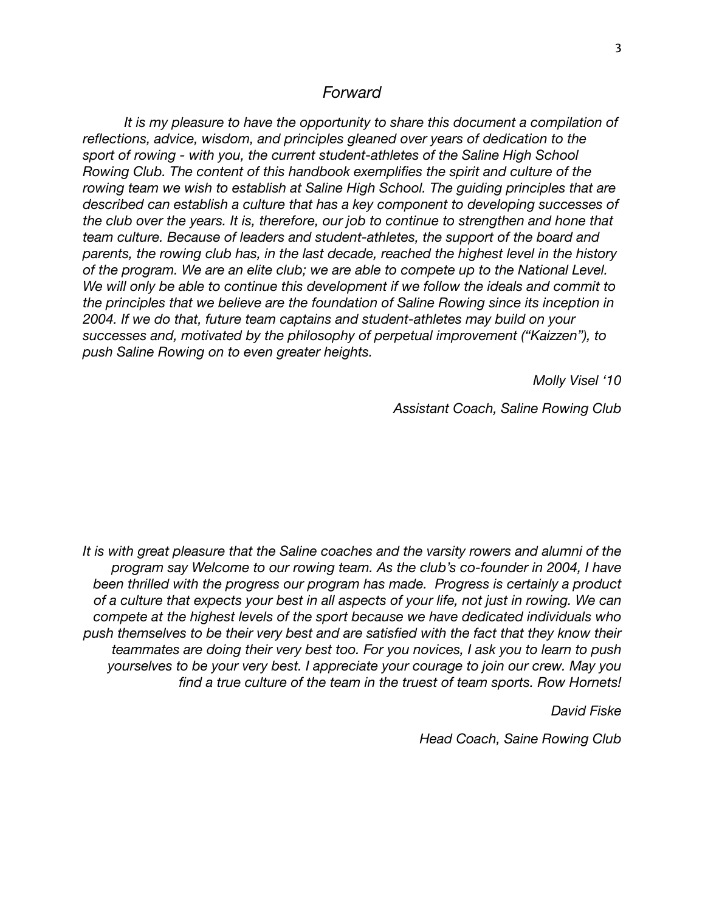#### *Forward*

*It is my pleasure to have the opportunity to share this document a compilation of reflections, advice, wisdom, and principles gleaned over years of dedication to the sport of rowing - with you, the current student-athletes of the Saline High School Rowing Club. The content of this handbook exemplifies the spirit and culture of the rowing team we wish to establish at Saline High School. The guiding principles that are described can establish a culture that has a key component to developing successes of the club over the years. It is, therefore, our job to continue to strengthen and hone that team culture. Because of leaders and student-athletes, the support of the board and parents, the rowing club has, in the last decade, reached the highest level in the history of the program. We are an elite club; we are able to compete up to the National Level. We will only be able to continue this development if we follow the ideals and commit to the principles that we believe are the foundation of Saline Rowing since its inception in 2004. If we do that, future team captains and student-athletes may build on your successes and, motivated by the philosophy of perpetual improvement ("Kaizzen"), to push Saline Rowing on to even greater heights.*

*Molly Visel '10*

*Assistant Coach, Saline Rowing Club*

*It is with great pleasure that the Saline coaches and the varsity rowers and alumni of the program say Welcome to our rowing team. As the club's co-founder in 2004, I have been thrilled with the progress our program has made. Progress is certainly a product of a culture that expects your best in all aspects of your life, not just in rowing. We can compete at the highest levels of the sport because we have dedicated individuals who push themselves to be their very best and are satisfied with the fact that they know their teammates are doing their very best too. For you novices, I ask you to learn to push yourselves to be your very best. I appreciate your courage to join our crew. May you find a true culture of the team in the truest of team sports. Row Hornets!*

*David Fiske*

*Head Coach, Saine Rowing Club*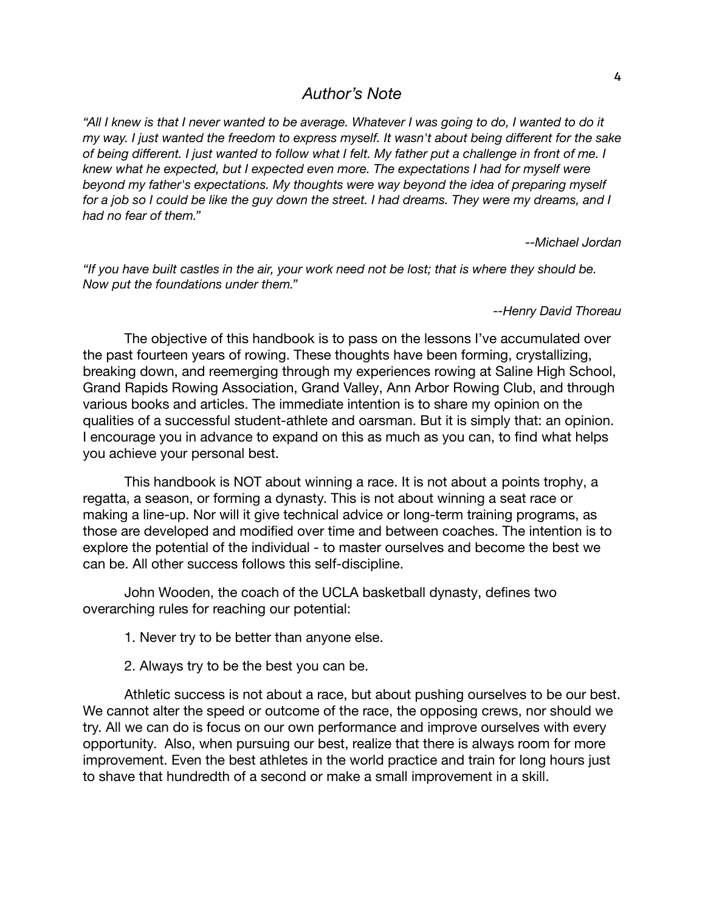# *Author's Note*

"All I knew is that I never wanted to be average. Whatever I was going to do, I wanted to do it *my way. I just wanted the freedom to express myself. It wasn't about being different for the sake* of being different. I just wanted to follow what I felt. My father put a challenge in front of me. I *knew what he expected, but I expected even more. The expectations I had for myself were beyond my father's expectations. My thoughts were way beyond the idea of preparing myself* for a job so I could be like the guy down the street. I had dreams. They were my dreams, and I *had no fear of them."*

*--Michael Jordan*

"If you have built castles in the air, your work need not be lost; that is where they should be. *Now put the foundations under them."*

*--Henry David Thoreau*

The objective of this handbook is to pass on the lessons I've accumulated over the past fourteen years of rowing. These thoughts have been forming, crystallizing, breaking down, and reemerging through my experiences rowing at Saline High School, Grand Rapids Rowing Association, Grand Valley, Ann Arbor Rowing Club, and through various books and articles. The immediate intention is to share my opinion on the qualities of a successful student-athlete and oarsman. But it is simply that: an opinion. I encourage you in advance to expand on this as much as you can, to find what helps you achieve your personal best.

This handbook is NOT about winning a race. It is not about a points trophy, a regatta, a season, or forming a dynasty. This is not about winning a seat race or making a line-up. Nor will it give technical advice or long-term training programs, as those are developed and modified over time and between coaches. The intention is to explore the potential of the individual - to master ourselves and become the best we can be. All other success follows this self-discipline.

John Wooden, the coach of the UCLA basketball dynasty, defines two overarching rules for reaching our potential:

1. Never try to be better than anyone else.

2. Always try to be the best you can be.

Athletic success is not about a race, but about pushing ourselves to be our best. We cannot alter the speed or outcome of the race, the opposing crews, nor should we try. All we can do is focus on our own performance and improve ourselves with every opportunity. Also, when pursuing our best, realize that there is always room for more improvement. Even the best athletes in the world practice and train for long hours just to shave that hundredth of a second or make a small improvement in a skill.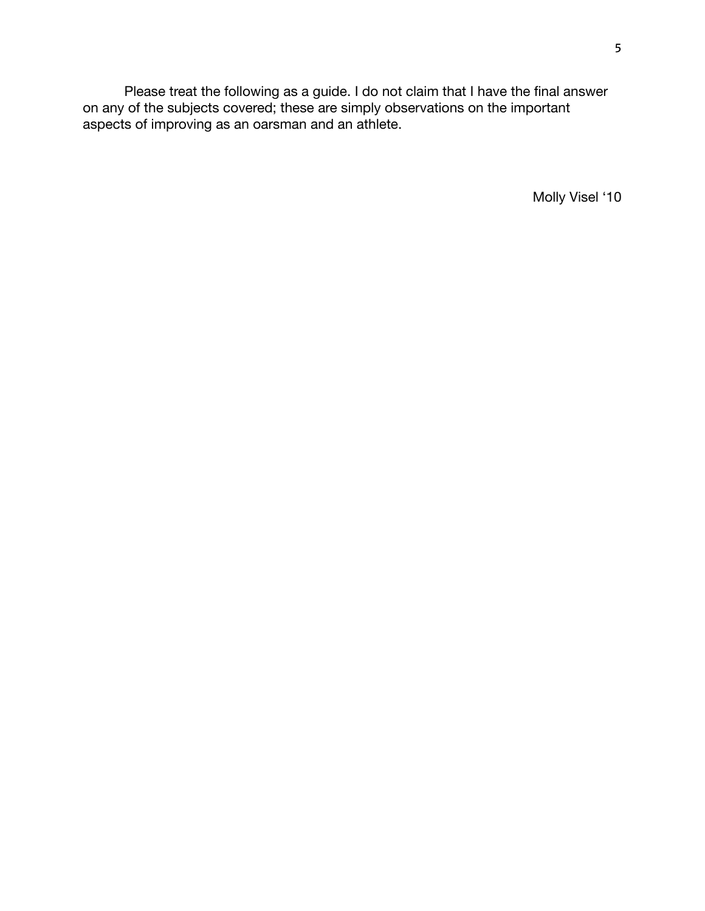Please treat the following as a guide. I do not claim that I have the final answer on any of the subjects covered; these are simply observations on the important aspects of improving as an oarsman and an athlete.

Molly Visel '10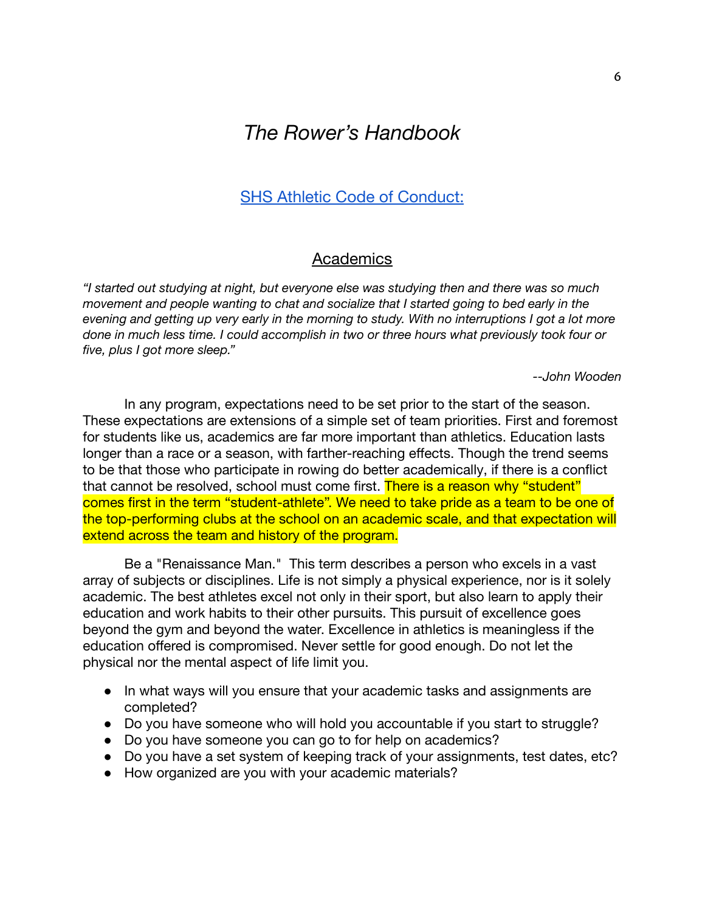# *The Rower's Handbook*

# SHS Athletic Code of [Conduct:](http://s3.amazonaws.com/vnn-aws-sites/39/files/2017/09/052ee79d8b5ac08c-Athletic-Handbook.pdf)

# **Academics**

*"I started out studying at night, but everyone else was studying then and there was so much movement and people wanting to chat and socialize that I started going to bed early in the* evening and getting up very early in the morning to study. With no interruptions I got a lot more *done in much less time. I could accomplish in two or three hours what previously took four or five, plus I got more sleep."*

*--John Wooden*

In any program, expectations need to be set prior to the start of the season. These expectations are extensions of a simple set of team priorities. First and foremost for students like us, academics are far more important than athletics. Education lasts longer than a race or a season, with farther-reaching effects. Though the trend seems to be that those who participate in rowing do better academically, if there is a conflict that cannot be resolved, school must come first. There is a reason why "student" comes first in the term "student-athlete". We need to take pride as a team to be one of the top-performing clubs at the school on an academic scale, and that expectation will extend across the team and history of the program.

Be a "Renaissance Man." This term describes a person who excels in a vast array of subjects or disciplines. Life is not simply a physical experience, nor is it solely academic. The best athletes excel not only in their sport, but also learn to apply their education and work habits to their other pursuits. This pursuit of excellence goes beyond the gym and beyond the water. Excellence in athletics is meaningless if the education offered is compromised. Never settle for good enough. Do not let the physical nor the mental aspect of life limit you.

- In what ways will you ensure that your academic tasks and assignments are completed?
- Do you have someone who will hold you accountable if you start to struggle?
- Do you have someone you can go to for help on academics?
- Do you have a set system of keeping track of your assignments, test dates, etc?
- How organized are you with your academic materials?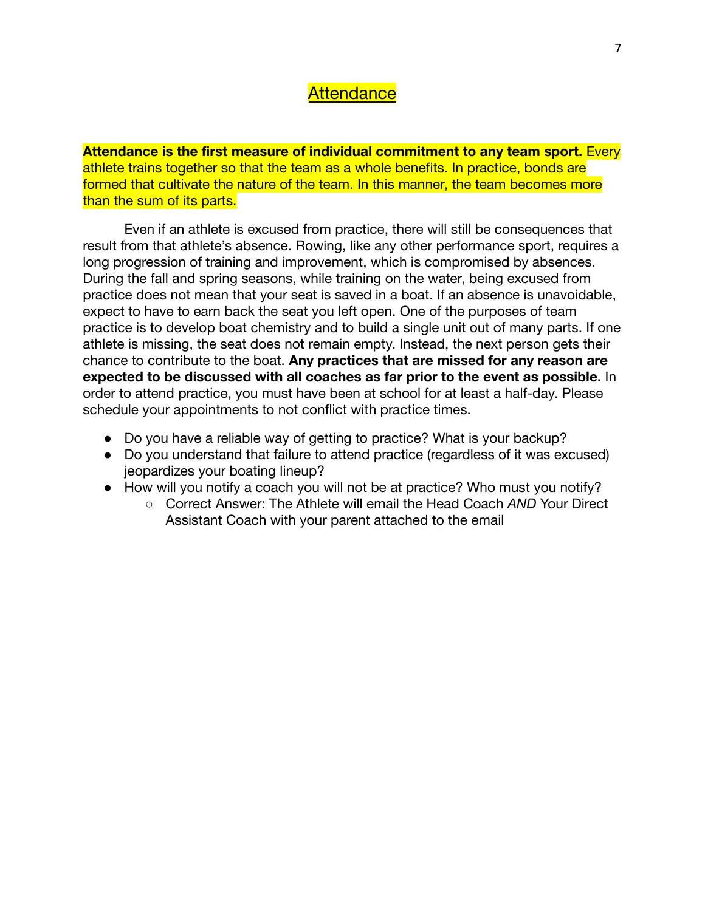# **Attendance**

**Attendance is the first measure of individual commitment to any team sport.** Every athlete trains together so that the team as a whole benefits. In practice, bonds are formed that cultivate the nature of the team. In this manner, the team becomes more than the sum of its parts.

Even if an athlete is excused from practice, there will still be consequences that result from that athlete's absence. Rowing, like any other performance sport, requires a long progression of training and improvement, which is compromised by absences. During the fall and spring seasons, while training on the water, being excused from practice does not mean that your seat is saved in a boat. If an absence is unavoidable, expect to have to earn back the seat you left open. One of the purposes of team practice is to develop boat chemistry and to build a single unit out of many parts. If one athlete is missing, the seat does not remain empty. Instead, the next person gets their chance to contribute to the boat. **Any practices that are missed for any reason are expected to be discussed with all coaches as far prior to the event as possible.** In order to attend practice, you must have been at school for at least a half-day. Please schedule your appointments to not conflict with practice times.

- Do you have a reliable way of getting to practice? What is your backup?
- Do you understand that failure to attend practice (regardless of it was excused) jeopardizes your boating lineup?
- How will you notify a coach you will not be at practice? Who must you notify?
	- Correct Answer: The Athlete will email the Head Coach *AND* Your Direct Assistant Coach with your parent attached to the email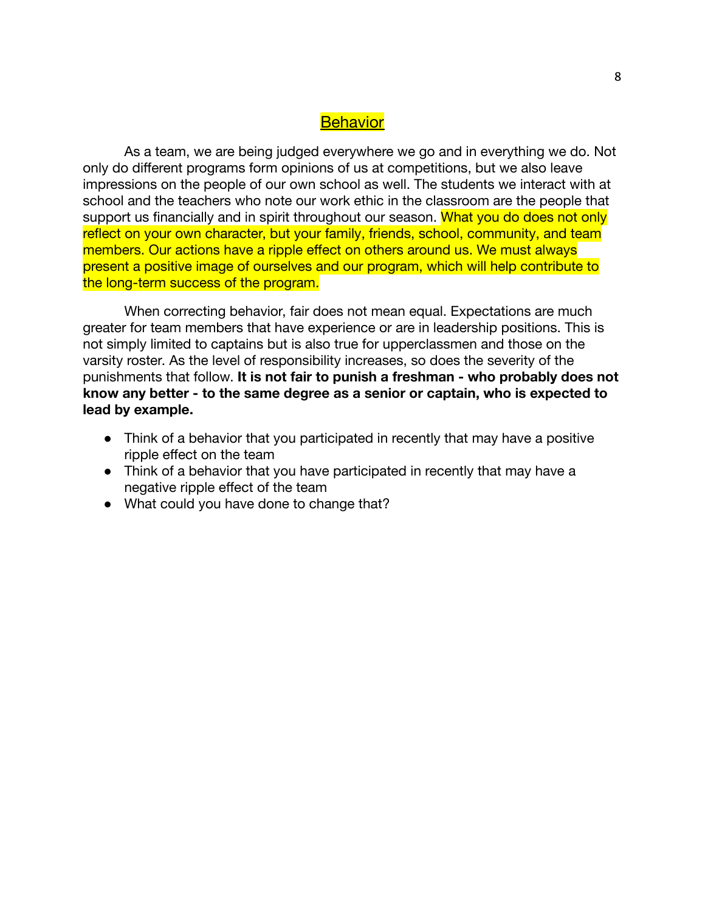# **Behavior**

As a team, we are being judged everywhere we go and in everything we do. Not only do different programs form opinions of us at competitions, but we also leave impressions on the people of our own school as well. The students we interact with at school and the teachers who note our work ethic in the classroom are the people that support us financially and in spirit throughout our season. What you do does not only reflect on your own character, but your family, friends, school, community, and team members. Our actions have a ripple effect on others around us. We must always present a positive image of ourselves and our program, which will help contribute to the long-term success of the program.

When correcting behavior, fair does not mean equal. Expectations are much greater for team members that have experience or are in leadership positions. This is not simply limited to captains but is also true for upperclassmen and those on the varsity roster. As the level of responsibility increases, so does the severity of the punishments that follow. **It is not fair to punish a freshman - who probably does not know any better - to the same degree as a senior or captain, who is expected to lead by example.**

- Think of a behavior that you participated in recently that may have a positive ripple effect on the team
- Think of a behavior that you have participated in recently that may have a negative ripple effect of the team
- What could you have done to change that?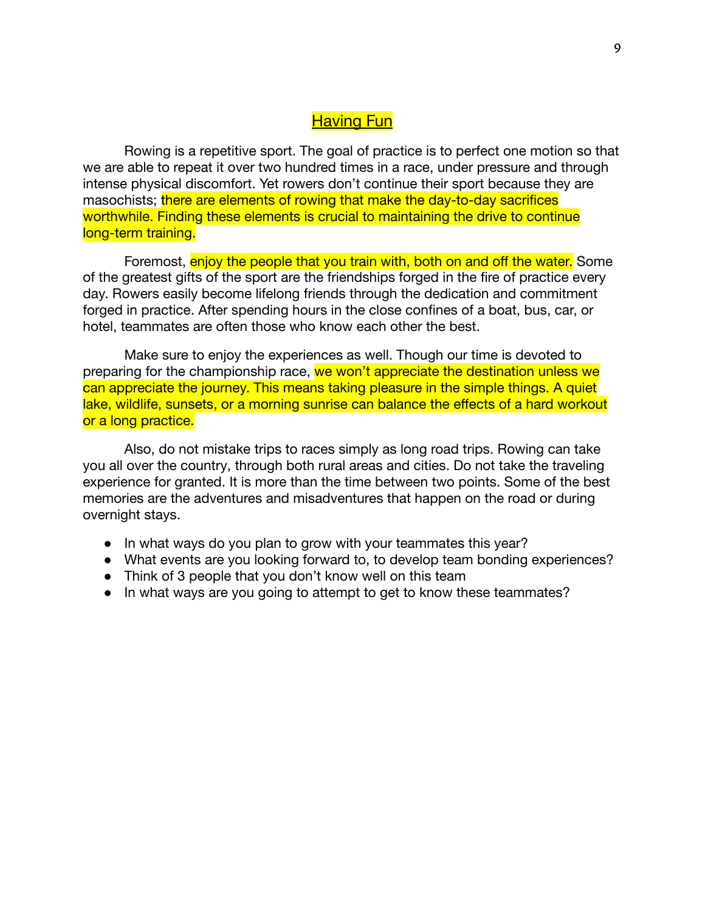# **Having Fun**

Rowing is a repetitive sport. The goal of practice is to perfect one motion so that we are able to repeat it over two hundred times in a race, under pressure and through intense physical discomfort. Yet rowers don't continue their sport because they are masochists; there are elements of rowing that make the day-to-day sacrifices worthwhile. Finding these elements is crucial to maintaining the drive to continue long-term training.

Foremost, **enjoy the people that you train with, both on and off the water.** Some of the greatest gifts of the sport are the friendships forged in the fire of practice every day. Rowers easily become lifelong friends through the dedication and commitment forged in practice. After spending hours in the close confines of a boat, bus, car, or hotel, teammates are often those who know each other the best.

Make sure to enjoy the experiences as well. Though our time is devoted to preparing for the championship race, we won't appreciate the destination unless we can appreciate the journey. This means taking pleasure in the simple things. A quiet lake, wildlife, sunsets, or a morning sunrise can balance the effects of a hard workout or a long practice.

Also, do not mistake trips to races simply as long road trips. Rowing can take you all over the country, through both rural areas and cities. Do not take the traveling experience for granted. It is more than the time between two points. Some of the best memories are the adventures and misadventures that happen on the road or during overnight stays.

- In what ways do you plan to grow with your teammates this year?
- What events are you looking forward to, to develop team bonding experiences?
- Think of 3 people that you don't know well on this team
- In what ways are you going to attempt to get to know these teammates?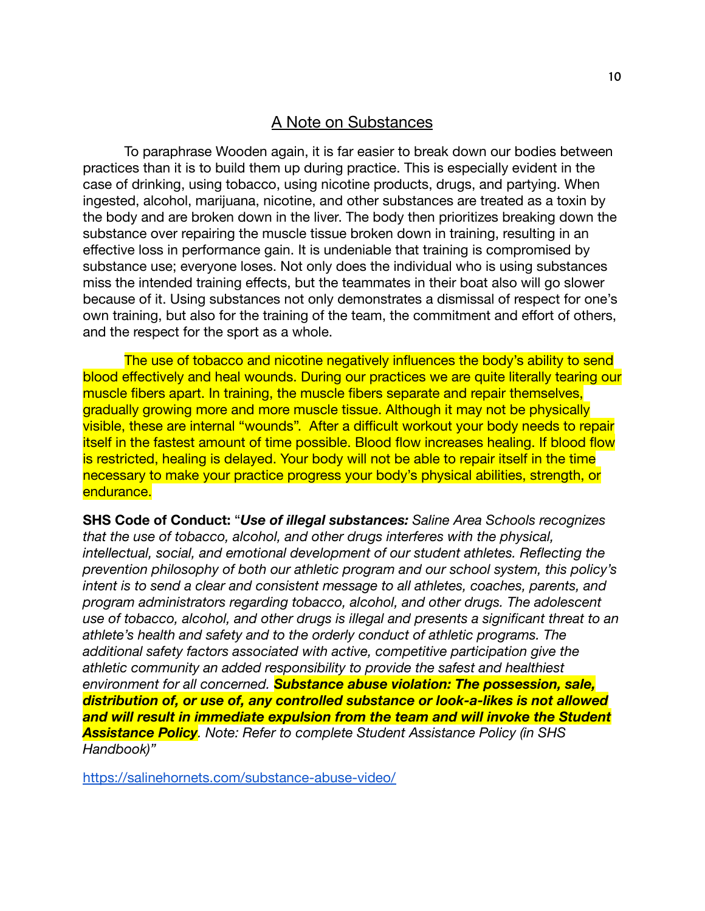### A Note on Substances

To paraphrase Wooden again, it is far easier to break down our bodies between practices than it is to build them up during practice. This is especially evident in the case of drinking, using tobacco, using nicotine products, drugs, and partying. When ingested, alcohol, marijuana, nicotine, and other substances are treated as a toxin by the body and are broken down in the liver. The body then prioritizes breaking down the substance over repairing the muscle tissue broken down in training, resulting in an effective loss in performance gain. It is undeniable that training is compromised by substance use; everyone loses. Not only does the individual who is using substances miss the intended training effects, but the teammates in their boat also will go slower because of it. Using substances not only demonstrates a dismissal of respect for one's own training, but also for the training of the team, the commitment and effort of others, and the respect for the sport as a whole.

The use of tobacco and nicotine negatively influences the body's ability to send blood effectively and heal wounds. During our practices we are quite literally tearing our muscle fibers apart. In training, the muscle fibers separate and repair themselves, gradually growing more and more muscle tissue. Although it may not be physically visible, these are internal "wounds". After a difficult workout your body needs to repair itself in the fastest amount of time possible. Blood flow increases healing. If blood flow is restricted, healing is delayed. Your body will not be able to repair itself in the time necessary to make your practice progress your body's physical abilities, strength, or endurance.

**SHS Code of Conduct:** "*Use of illegal substances: Saline Area Schools recognizes that the use of tobacco, alcohol, and other drugs interferes with the physical, intellectual, social, and emotional development of our student athletes. Reflecting the prevention philosophy of both our athletic program and our school system, this policy's intent is to send a clear and consistent message to all athletes, coaches, parents, and program administrators regarding tobacco, alcohol, and other drugs. The adolescent use of tobacco, alcohol, and other drugs is illegal and presents a significant threat to an athlete's health and safety and to the orderly conduct of athletic programs. The additional safety factors associated with active, competitive participation give the athletic community an added responsibility to provide the safest and healthiest environment for all concerned. Substance abuse violation: The possession, sale, distribution of, or use of, any controlled substance or look-a-likes is not allowed and will result in immediate expulsion from the team and will invoke the Student Assistance Policy. Note: Refer to complete Student Assistance Policy (in SHS Handbook)"*

<https://salinehornets.com/substance-abuse-video/>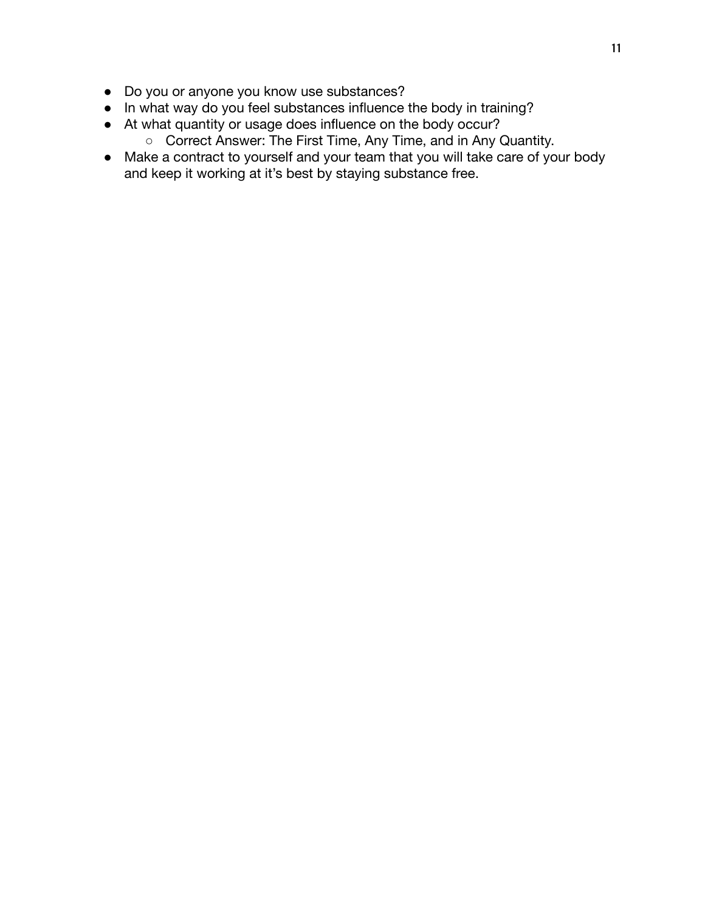- Do you or anyone you know use substances?
- In what way do you feel substances influence the body in training?
- At what quantity or usage does influence on the body occur?
	- Correct Answer: The First Time, Any Time, and in Any Quantity.
- Make a contract to yourself and your team that you will take care of your body and keep it working at it's best by staying substance free.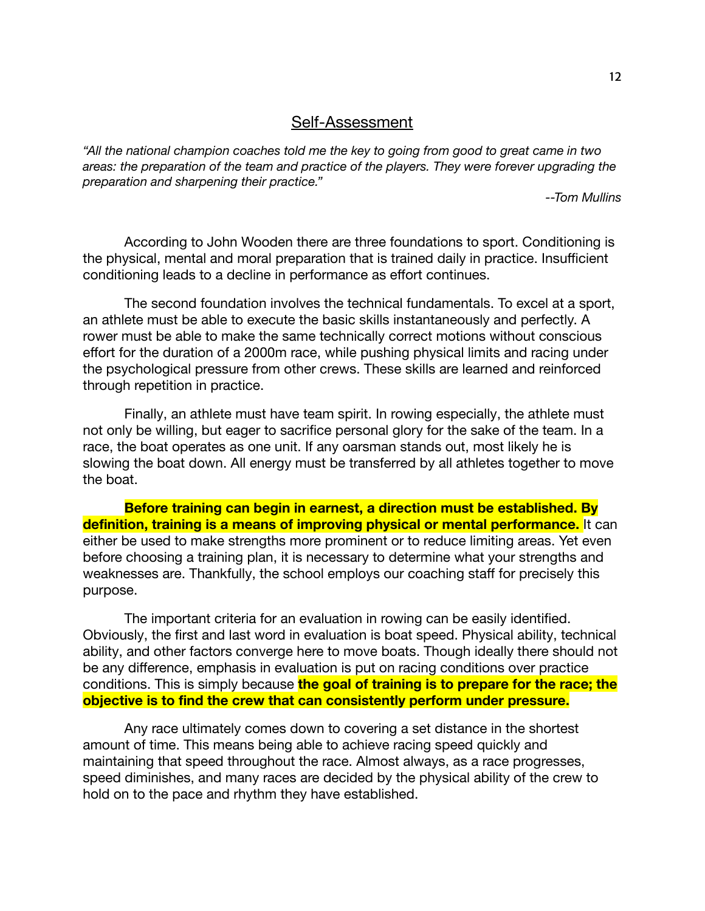#### Self-Assessment

*"All the national champion coaches told me the key to going from good to great came in two areas: the preparation of the team and practice of the players. They were forever upgrading the preparation and sharpening their practice."*

*--Tom Mullins*

According to John Wooden there are three foundations to sport. Conditioning is the physical, mental and moral preparation that is trained daily in practice. Insufficient conditioning leads to a decline in performance as effort continues.

The second foundation involves the technical fundamentals. To excel at a sport, an athlete must be able to execute the basic skills instantaneously and perfectly. A rower must be able to make the same technically correct motions without conscious effort for the duration of a 2000m race, while pushing physical limits and racing under the psychological pressure from other crews. These skills are learned and reinforced through repetition in practice.

Finally, an athlete must have team spirit. In rowing especially, the athlete must not only be willing, but eager to sacrifice personal glory for the sake of the team. In a race, the boat operates as one unit. If any oarsman stands out, most likely he is slowing the boat down. All energy must be transferred by all athletes together to move the boat.

**Before training can begin in earnest, a direction must be established. By definition, training is a means of improving physical or mental performance.** It can either be used to make strengths more prominent or to reduce limiting areas. Yet even before choosing a training plan, it is necessary to determine what your strengths and weaknesses are. Thankfully, the school employs our coaching staff for precisely this purpose.

The important criteria for an evaluation in rowing can be easily identified. Obviously, the first and last word in evaluation is boat speed. Physical ability, technical ability, and other factors converge here to move boats. Though ideally there should not be any difference, emphasis in evaluation is put on racing conditions over practice conditions. This is simply because **the goal of training is to prepare for the race; the objective is to find the crew that can consistently perform under pressure.**

Any race ultimately comes down to covering a set distance in the shortest amount of time. This means being able to achieve racing speed quickly and maintaining that speed throughout the race. Almost always, as a race progresses, speed diminishes, and many races are decided by the physical ability of the crew to hold on to the pace and rhythm they have established.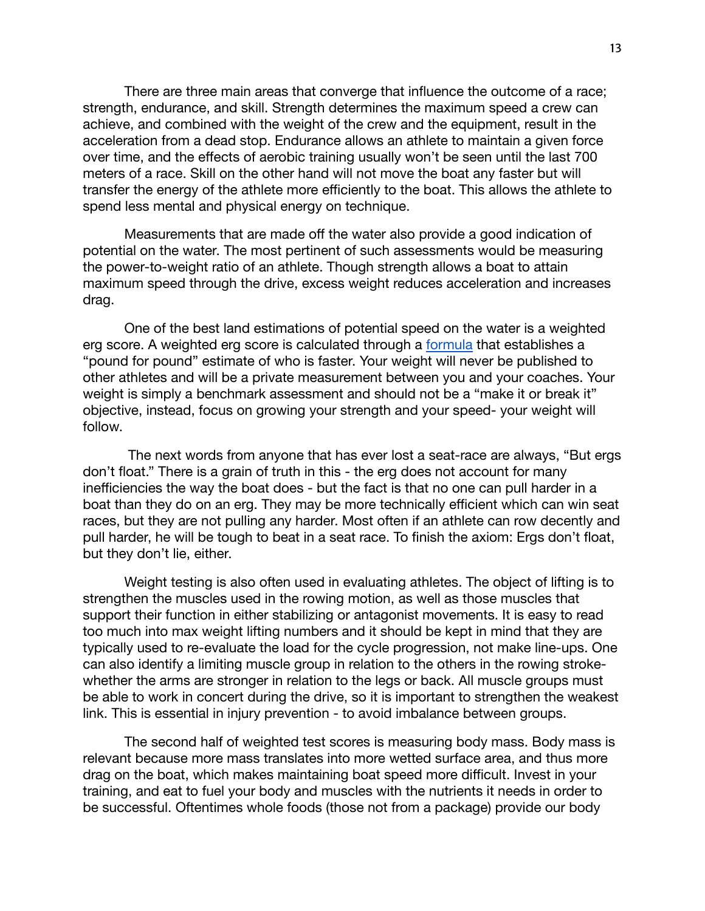There are three main areas that converge that influence the outcome of a race; strength, endurance, and skill. Strength determines the maximum speed a crew can achieve, and combined with the weight of the crew and the equipment, result in the acceleration from a dead stop. Endurance allows an athlete to maintain a given force over time, and the effects of aerobic training usually won't be seen until the last 700 meters of a race. Skill on the other hand will not move the boat any faster but will transfer the energy of the athlete more efficiently to the boat. This allows the athlete to spend less mental and physical energy on technique.

Measurements that are made off the water also provide a good indication of potential on the water. The most pertinent of such assessments would be measuring the power-to-weight ratio of an athlete. Though strength allows a boat to attain maximum speed through the drive, excess weight reduces acceleration and increases drag.

One of the best land estimations of potential speed on the water is a weighted erg score. A weighted erg score is calculated through a [formula](https://www.concept2.com/indoor-rowers/training/calculators/weight-adjustment-calculator#:~:text=What%20is%20the%20weight%20adjustment,270%5D%20raised%20to%20the%20power%20.) that establishes a "pound for pound" estimate of who is faster. Your weight will never be published to other athletes and will be a private measurement between you and your coaches. Your weight is simply a benchmark assessment and should not be a "make it or break it" objective, instead, focus on growing your strength and your speed- your weight will follow.

The next words from anyone that has ever lost a seat-race are always, "But ergs don't float." There is a grain of truth in this - the erg does not account for many inefficiencies the way the boat does - but the fact is that no one can pull harder in a boat than they do on an erg. They may be more technically efficient which can win seat races, but they are not pulling any harder. Most often if an athlete can row decently and pull harder, he will be tough to beat in a seat race. To finish the axiom: Ergs don't float, but they don't lie, either.

Weight testing is also often used in evaluating athletes. The object of lifting is to strengthen the muscles used in the rowing motion, as well as those muscles that support their function in either stabilizing or antagonist movements. It is easy to read too much into max weight lifting numbers and it should be kept in mind that they are typically used to re-evaluate the load for the cycle progression, not make line-ups. One can also identify a limiting muscle group in relation to the others in the rowing strokewhether the arms are stronger in relation to the legs or back. All muscle groups must be able to work in concert during the drive, so it is important to strengthen the weakest link. This is essential in injury prevention - to avoid imbalance between groups.

The second half of weighted test scores is measuring body mass. Body mass is relevant because more mass translates into more wetted surface area, and thus more drag on the boat, which makes maintaining boat speed more difficult. Invest in your training, and eat to fuel your body and muscles with the nutrients it needs in order to be successful. Oftentimes whole foods (those not from a package) provide our body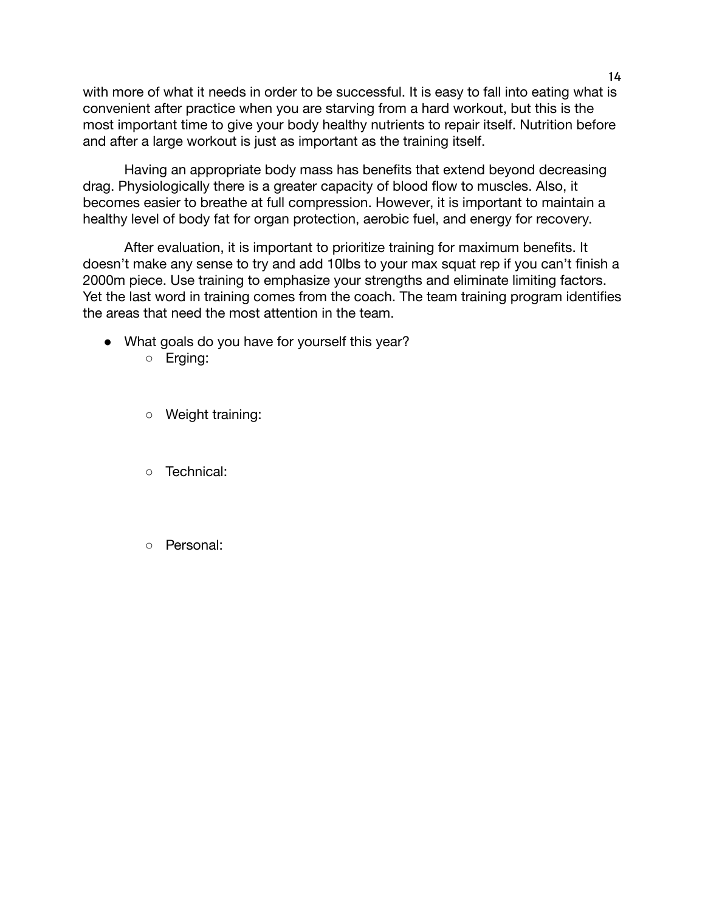with more of what it needs in order to be successful. It is easy to fall into eating what is convenient after practice when you are starving from a hard workout, but this is the most important time to give your body healthy nutrients to repair itself. Nutrition before and after a large workout is just as important as the training itself.

Having an appropriate body mass has benefits that extend beyond decreasing drag. Physiologically there is a greater capacity of blood flow to muscles. Also, it becomes easier to breathe at full compression. However, it is important to maintain a healthy level of body fat for organ protection, aerobic fuel, and energy for recovery.

After evaluation, it is important to prioritize training for maximum benefits. It doesn't make any sense to try and add 10lbs to your max squat rep if you can't finish a 2000m piece. Use training to emphasize your strengths and eliminate limiting factors. Yet the last word in training comes from the coach. The team training program identifies the areas that need the most attention in the team.

- What goals do you have for yourself this year?
	- Erging:
	- Weight training:
	- Technical:
	- Personal: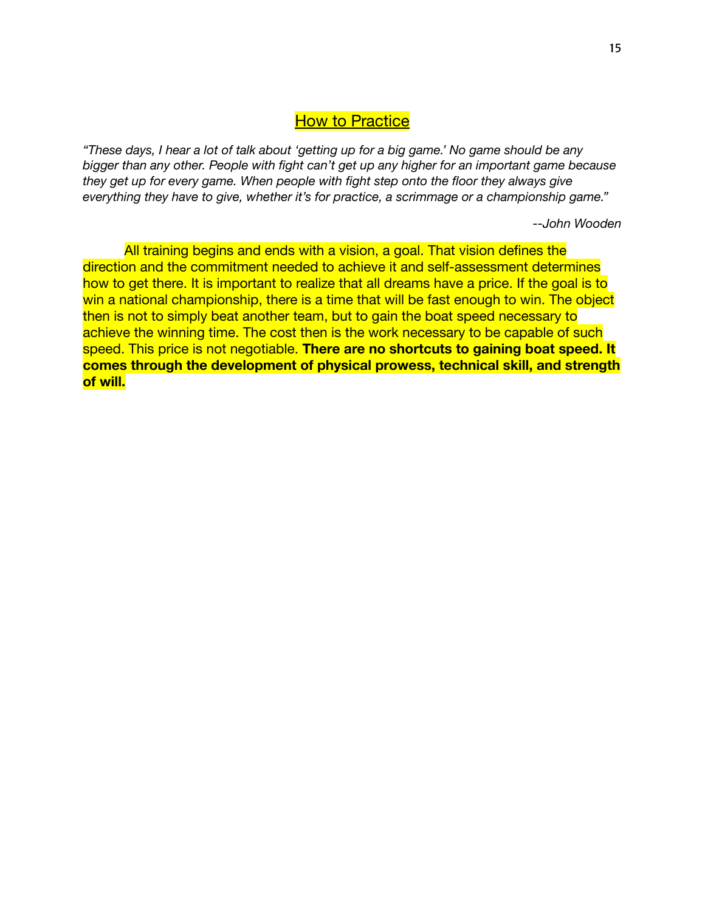# **How to Practice**

"These days, I hear a lot of talk about 'getting up for a big game.' No game should be any *bigger than any other. People with fight can't get up any higher for an important game because they get up for every game. When people with fight step onto the floor they always give everything they have to give, whether it's for practice, a scrimmage or a championship game."*

*--John Wooden*

All training begins and ends with a vision, a goal. That vision defines the direction and the commitment needed to achieve it and self-assessment determines how to get there. It is important to realize that all dreams have a price. If the goal is to win a national championship, there is a time that will be fast enough to win. The object then is not to simply beat another team, but to gain the boat speed necessary to achieve the winning time. The cost then is the work necessary to be capable of such speed. This price is not negotiable. **There are no shortcuts to gaining boat speed. It comes through the development of physical prowess, technical skill, and strength of will.**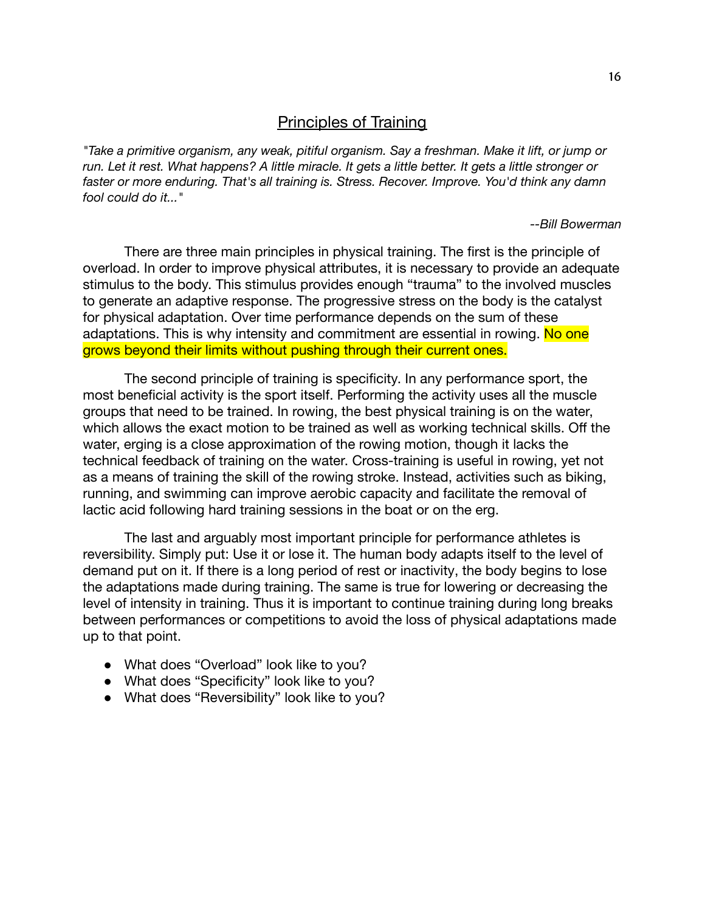# Principles of Training

*"Take a primitive organism, any weak, pitiful organism. Say a freshman. Make it lift, or jump or* run. Let it rest. What happens? A little miracle. It gets a little better. It gets a little stronger or *faster or more enduring. That's all training is. Stress. Recover. Improve. You'd think any damn fool could do it..."*

*--Bill Bowerman*

There are three main principles in physical training. The first is the principle of overload. In order to improve physical attributes, it is necessary to provide an adequate stimulus to the body. This stimulus provides enough "trauma" to the involved muscles to generate an adaptive response. The progressive stress on the body is the catalyst for physical adaptation. Over time performance depends on the sum of these adaptations. This is why intensity and commitment are essential in rowing. No one grows beyond their limits without pushing through their current ones.

The second principle of training is specificity. In any performance sport, the most beneficial activity is the sport itself. Performing the activity uses all the muscle groups that need to be trained. In rowing, the best physical training is on the water, which allows the exact motion to be trained as well as working technical skills. Off the water, erging is a close approximation of the rowing motion, though it lacks the technical feedback of training on the water. Cross-training is useful in rowing, yet not as a means of training the skill of the rowing stroke. Instead, activities such as biking, running, and swimming can improve aerobic capacity and facilitate the removal of lactic acid following hard training sessions in the boat or on the erg.

The last and arguably most important principle for performance athletes is reversibility. Simply put: Use it or lose it. The human body adapts itself to the level of demand put on it. If there is a long period of rest or inactivity, the body begins to lose the adaptations made during training. The same is true for lowering or decreasing the level of intensity in training. Thus it is important to continue training during long breaks between performances or competitions to avoid the loss of physical adaptations made up to that point.

- What does "Overload" look like to you?
- What does "Specificity" look like to you?
- What does "Reversibility" look like to you?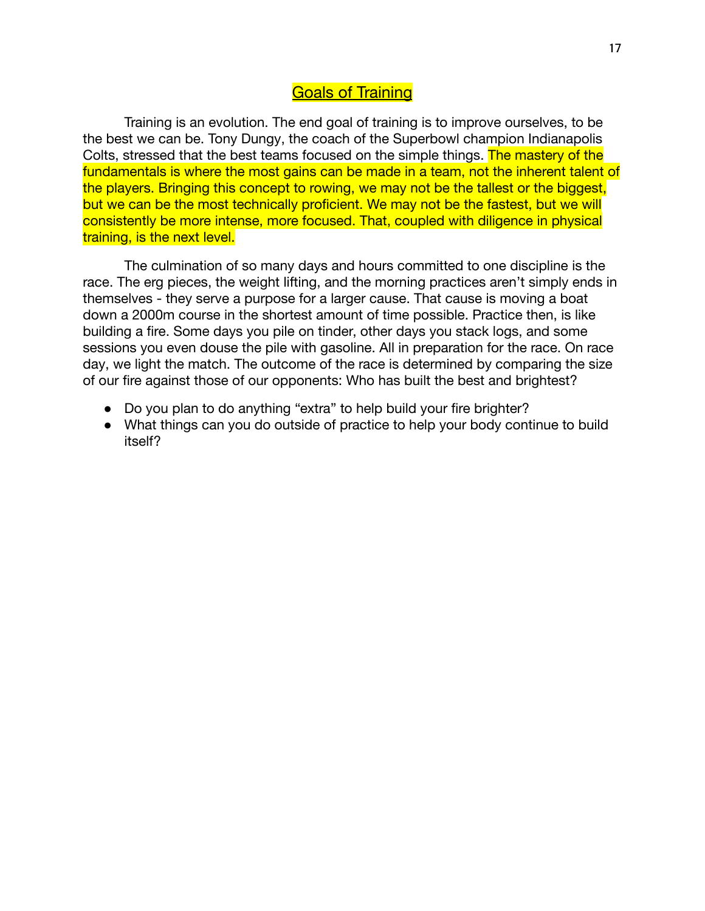# Goals of Training

Training is an evolution. The end goal of training is to improve ourselves, to be the best we can be. Tony Dungy, the coach of the Superbowl champion Indianapolis Colts, stressed that the best teams focused on the simple things. The mastery of the fundamentals is where the most gains can be made in a team, not the inherent talent of the players. Bringing this concept to rowing, we may not be the tallest or the biggest, but we can be the most technically proficient. We may not be the fastest, but we will consistently be more intense, more focused. That, coupled with diligence in physical training, is the next level.

The culmination of so many days and hours committed to one discipline is the race. The erg pieces, the weight lifting, and the morning practices aren't simply ends in themselves - they serve a purpose for a larger cause. That cause is moving a boat down a 2000m course in the shortest amount of time possible. Practice then, is like building a fire. Some days you pile on tinder, other days you stack logs, and some sessions you even douse the pile with gasoline. All in preparation for the race. On race day, we light the match. The outcome of the race is determined by comparing the size of our fire against those of our opponents: Who has built the best and brightest?

- Do you plan to do anything "extra" to help build your fire brighter?
- What things can you do outside of practice to help your body continue to build itself?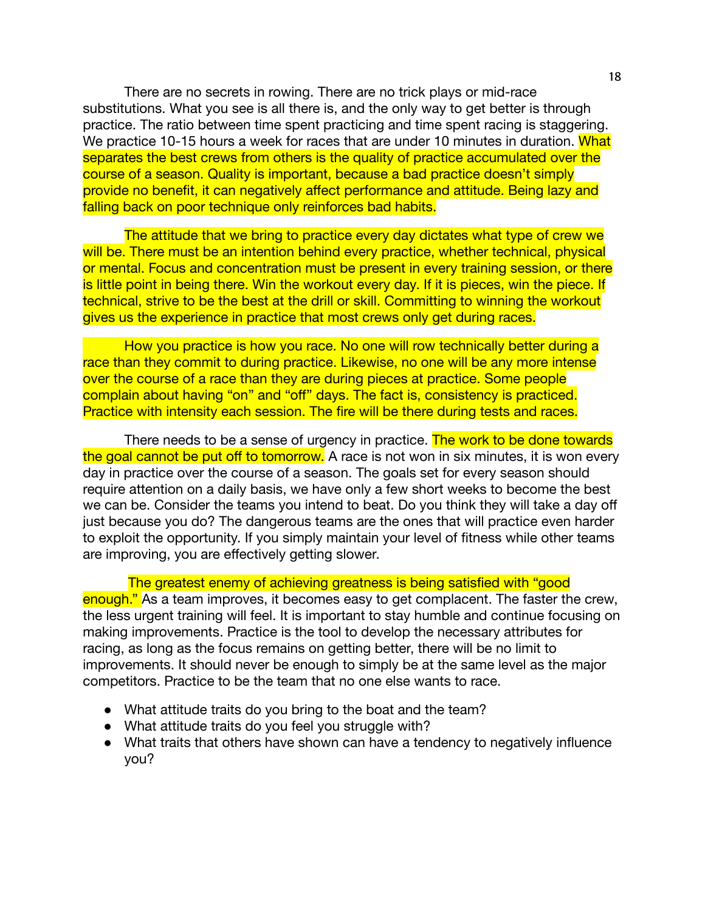There are no secrets in rowing. There are no trick plays or mid-race substitutions. What you see is all there is, and the only way to get better is through practice. The ratio between time spent practicing and time spent racing is staggering. We practice 10-15 hours a week for races that are under 10 minutes in duration. What separates the best crews from others is the quality of practice accumulated over the course of a season. Quality is important, because a bad practice doesn't simply provide no benefit, it can negatively affect performance and attitude. Being lazy and falling back on poor technique only reinforces bad habits.

The attitude that we bring to practice every day dictates what type of crew we will be. There must be an intention behind every practice, whether technical, physical or mental. Focus and concentration must be present in every training session, or there is little point in being there. Win the workout every day. If it is pieces, win the piece. If technical, strive to be the best at the drill or skill. Committing to winning the workout gives us the experience in practice that most crews only get during races.

How you practice is how you race. No one will row technically better during a race than they commit to during practice. Likewise, no one will be any more intense over the course of a race than they are during pieces at practice. Some people complain about having "on" and "off" days. The fact is, consistency is practiced. Practice with intensity each session. The fire will be there during tests and races.

There needs to be a sense of urgency in practice. The work to be done towards the goal cannot be put off to tomorrow. A race is not won in six minutes, it is won every day in practice over the course of a season. The goals set for every season should require attention on a daily basis, we have only a few short weeks to become the best we can be. Consider the teams you intend to beat. Do you think they will take a day off just because you do? The dangerous teams are the ones that will practice even harder to exploit the opportunity. If you simply maintain your level of fitness while other teams are improving, you are effectively getting slower.

The greatest enemy of achieving greatness is being satisfied with "good enough." As a team improves, it becomes easy to get complacent. The faster the crew, the less urgent training will feel. It is important to stay humble and continue focusing on making improvements. Practice is the tool to develop the necessary attributes for racing, as long as the focus remains on getting better, there will be no limit to improvements. It should never be enough to simply be at the same level as the major competitors. Practice to be the team that no one else wants to race.

- What attitude traits do you bring to the boat and the team?
- What attitude traits do you feel you struggle with?
- What traits that others have shown can have a tendency to negatively influence you?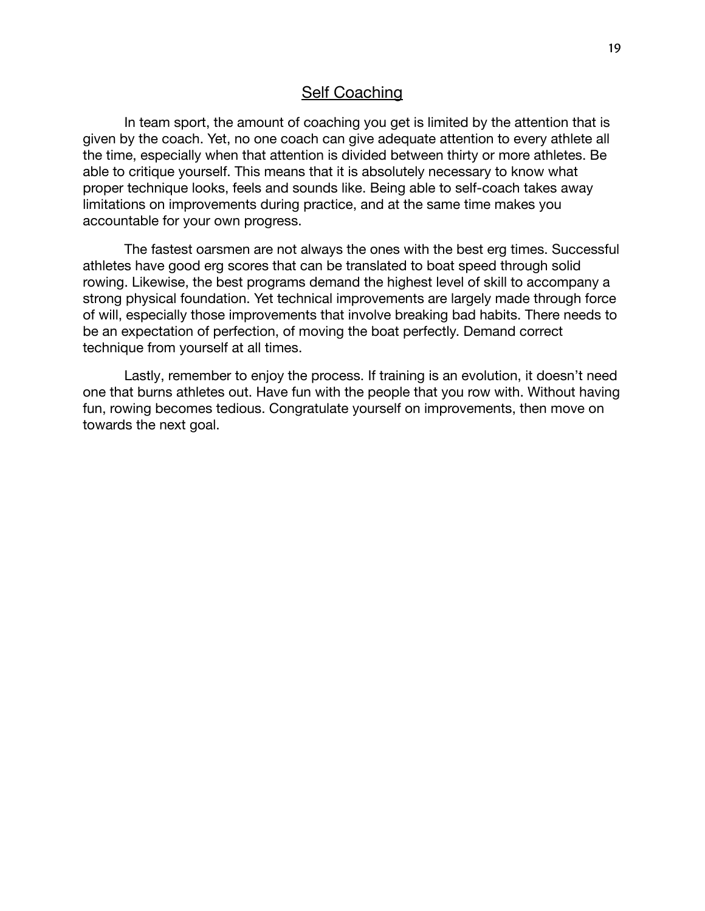#### **Self Coaching**

In team sport, the amount of coaching you get is limited by the attention that is given by the coach. Yet, no one coach can give adequate attention to every athlete all the time, especially when that attention is divided between thirty or more athletes. Be able to critique yourself. This means that it is absolutely necessary to know what proper technique looks, feels and sounds like. Being able to self-coach takes away limitations on improvements during practice, and at the same time makes you accountable for your own progress.

The fastest oarsmen are not always the ones with the best erg times. Successful athletes have good erg scores that can be translated to boat speed through solid rowing. Likewise, the best programs demand the highest level of skill to accompany a strong physical foundation. Yet technical improvements are largely made through force of will, especially those improvements that involve breaking bad habits. There needs to be an expectation of perfection, of moving the boat perfectly. Demand correct technique from yourself at all times.

Lastly, remember to enjoy the process. If training is an evolution, it doesn't need one that burns athletes out. Have fun with the people that you row with. Without having fun, rowing becomes tedious. Congratulate yourself on improvements, then move on towards the next goal.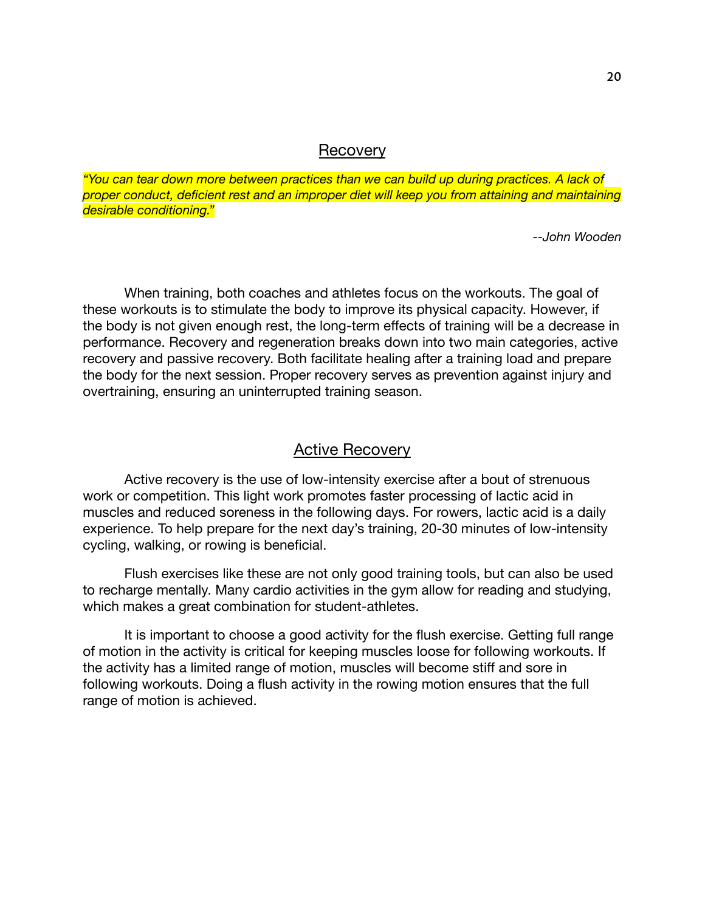#### **Recovery**

*"You can tear down more between practices than we can build up during practices. A lack of proper conduct, deficient rest and an improper diet will keep you from attaining and maintaining desirable conditioning."*

*--John Wooden*

When training, both coaches and athletes focus on the workouts. The goal of these workouts is to stimulate the body to improve its physical capacity. However, if the body is not given enough rest, the long-term effects of training will be a decrease in performance. Recovery and regeneration breaks down into two main categories, active recovery and passive recovery. Both facilitate healing after a training load and prepare the body for the next session. Proper recovery serves as prevention against injury and overtraining, ensuring an uninterrupted training season.

### Active Recovery

Active recovery is the use of low-intensity exercise after a bout of strenuous work or competition. This light work promotes faster processing of lactic acid in muscles and reduced soreness in the following days. For rowers, lactic acid is a daily experience. To help prepare for the next day's training, 20-30 minutes of low-intensity cycling, walking, or rowing is beneficial.

Flush exercises like these are not only good training tools, but can also be used to recharge mentally. Many cardio activities in the gym allow for reading and studying, which makes a great combination for student-athletes.

It is important to choose a good activity for the flush exercise. Getting full range of motion in the activity is critical for keeping muscles loose for following workouts. If the activity has a limited range of motion, muscles will become stiff and sore in following workouts. Doing a flush activity in the rowing motion ensures that the full range of motion is achieved.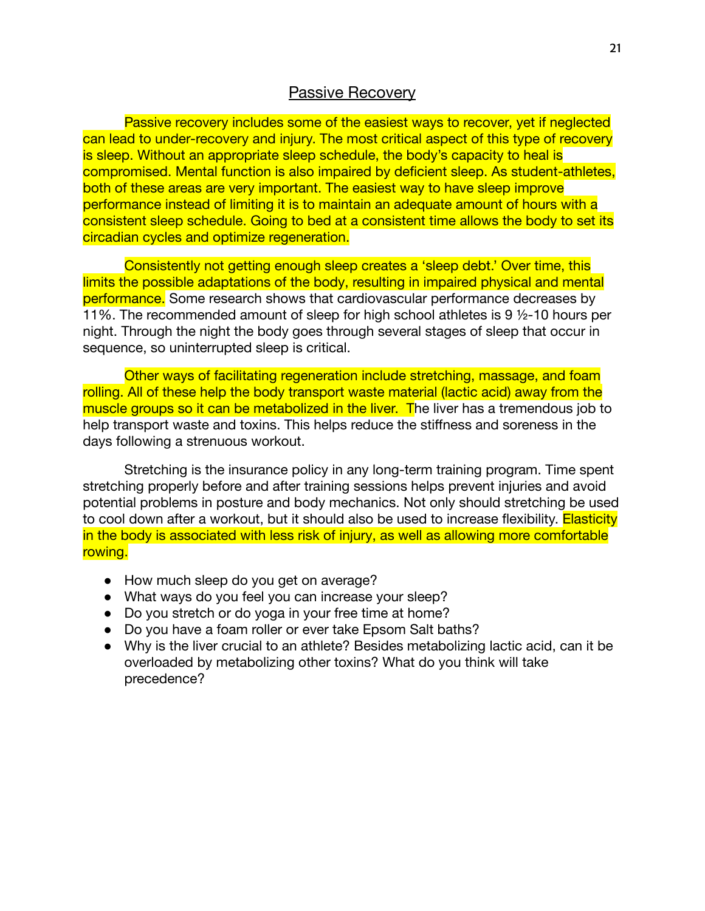# **Passive Recovery**

Passive recovery includes some of the easiest ways to recover, yet if neglected can lead to under-recovery and injury. The most critical aspect of this type of recovery is sleep. Without an appropriate sleep schedule, the body's capacity to heal is compromised. Mental function is also impaired by deficient sleep. As student-athletes, both of these areas are very important. The easiest way to have sleep improve performance instead of limiting it is to maintain an adequate amount of hours with a consistent sleep schedule. Going to bed at a consistent time allows the body to set its circadian cycles and optimize regeneration.

Consistently not getting enough sleep creates a 'sleep debt.' Over time, this limits the possible adaptations of the body, resulting in impaired physical and mental performance. Some research shows that cardiovascular performance decreases by 11%. The recommended amount of sleep for high school athletes is 9 ½-10 hours per night. Through the night the body goes through several stages of sleep that occur in sequence, so uninterrupted sleep is critical.

Other ways of facilitating regeneration include stretching, massage, and foam rolling. All of these help the body transport waste material (lactic acid) away from the muscle groups so it can be metabolized in the liver. The liver has a tremendous job to help transport waste and toxins. This helps reduce the stiffness and soreness in the days following a strenuous workout.

Stretching is the insurance policy in any long-term training program. Time spent stretching properly before and after training sessions helps prevent injuries and avoid potential problems in posture and body mechanics. Not only should stretching be used to cool down after a workout, but it should also be used to increase flexibility. **Elasticity** in the body is associated with less risk of injury, as well as allowing more comfortable rowing.

- How much sleep do you get on average?
- What ways do you feel you can increase your sleep?
- Do you stretch or do yoga in your free time at home?
- Do you have a foam roller or ever take Epsom Salt baths?
- Why is the liver crucial to an athlete? Besides metabolizing lactic acid, can it be overloaded by metabolizing other toxins? What do you think will take precedence?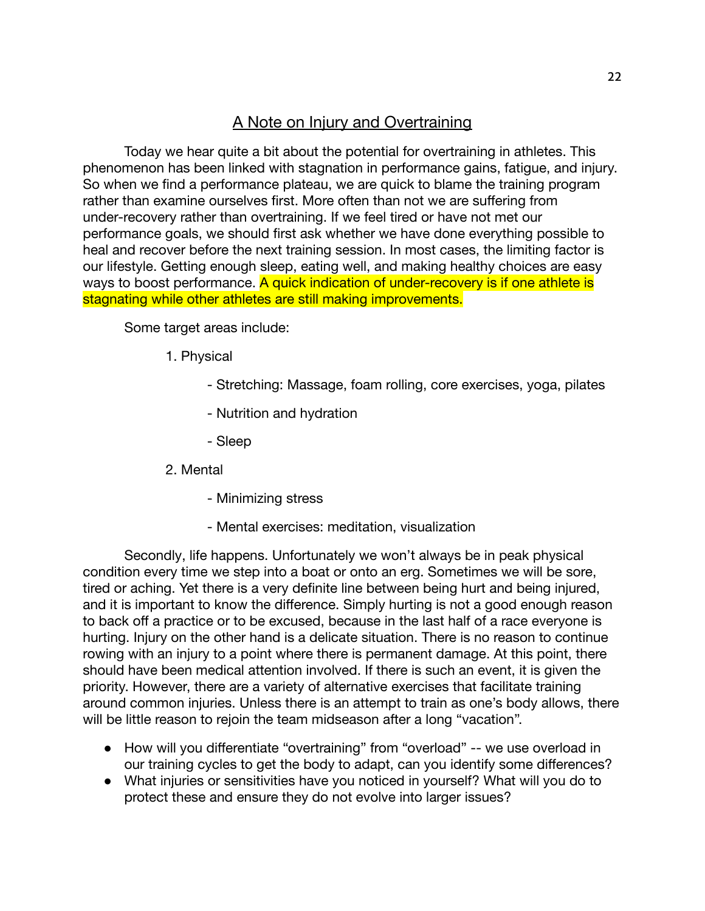# A Note on Injury and Overtraining

Today we hear quite a bit about the potential for overtraining in athletes. This phenomenon has been linked with stagnation in performance gains, fatigue, and injury. So when we find a performance plateau, we are quick to blame the training program rather than examine ourselves first. More often than not we are suffering from under-recovery rather than overtraining. If we feel tired or have not met our performance goals, we should first ask whether we have done everything possible to heal and recover before the next training session. In most cases, the limiting factor is our lifestyle. Getting enough sleep, eating well, and making healthy choices are easy ways to boost performance. A quick indication of under-recovery is if one athlete is stagnating while other athletes are still making improvements.

Some target areas include:

- 1. Physical
	- Stretching: Massage, foam rolling, core exercises, yoga, pilates
	- Nutrition and hydration
	- Sleep
- 2. Mental
	- Minimizing stress
	- Mental exercises: meditation, visualization

Secondly, life happens. Unfortunately we won't always be in peak physical condition every time we step into a boat or onto an erg. Sometimes we will be sore, tired or aching. Yet there is a very definite line between being hurt and being injured, and it is important to know the difference. Simply hurting is not a good enough reason to back off a practice or to be excused, because in the last half of a race everyone is hurting. Injury on the other hand is a delicate situation. There is no reason to continue rowing with an injury to a point where there is permanent damage. At this point, there should have been medical attention involved. If there is such an event, it is given the priority. However, there are a variety of alternative exercises that facilitate training around common injuries. Unless there is an attempt to train as one's body allows, there will be little reason to rejoin the team midseason after a long "vacation".

- How will you differentiate "overtraining" from "overload" -- we use overload in our training cycles to get the body to adapt, can you identify some differences?
- What injuries or sensitivities have you noticed in yourself? What will you do to protect these and ensure they do not evolve into larger issues?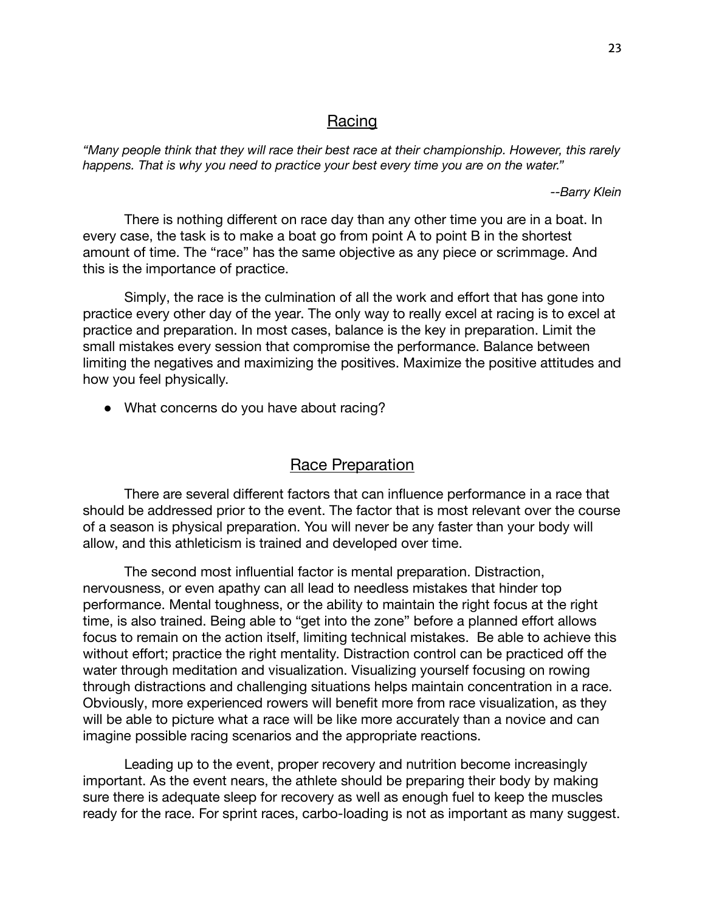### **Racing**

*"Many people think that they will race their best race at their championship. However, this rarely happens. That is why you need to practice your best every time you are on the water."*

*--Barry Klein*

There is nothing different on race day than any other time you are in a boat. In every case, the task is to make a boat go from point A to point B in the shortest amount of time. The "race" has the same objective as any piece or scrimmage. And this is the importance of practice.

Simply, the race is the culmination of all the work and effort that has gone into practice every other day of the year. The only way to really excel at racing is to excel at practice and preparation. In most cases, balance is the key in preparation. Limit the small mistakes every session that compromise the performance. Balance between limiting the negatives and maximizing the positives. Maximize the positive attitudes and how you feel physically.

• What concerns do you have about racing?

# Race Preparation

There are several different factors that can influence performance in a race that should be addressed prior to the event. The factor that is most relevant over the course of a season is physical preparation. You will never be any faster than your body will allow, and this athleticism is trained and developed over time.

The second most influential factor is mental preparation. Distraction, nervousness, or even apathy can all lead to needless mistakes that hinder top performance. Mental toughness, or the ability to maintain the right focus at the right time, is also trained. Being able to "get into the zone" before a planned effort allows focus to remain on the action itself, limiting technical mistakes. Be able to achieve this without effort; practice the right mentality. Distraction control can be practiced off the water through meditation and visualization. Visualizing yourself focusing on rowing through distractions and challenging situations helps maintain concentration in a race. Obviously, more experienced rowers will benefit more from race visualization, as they will be able to picture what a race will be like more accurately than a novice and can imagine possible racing scenarios and the appropriate reactions.

Leading up to the event, proper recovery and nutrition become increasingly important. As the event nears, the athlete should be preparing their body by making sure there is adequate sleep for recovery as well as enough fuel to keep the muscles ready for the race. For sprint races, carbo-loading is not as important as many suggest.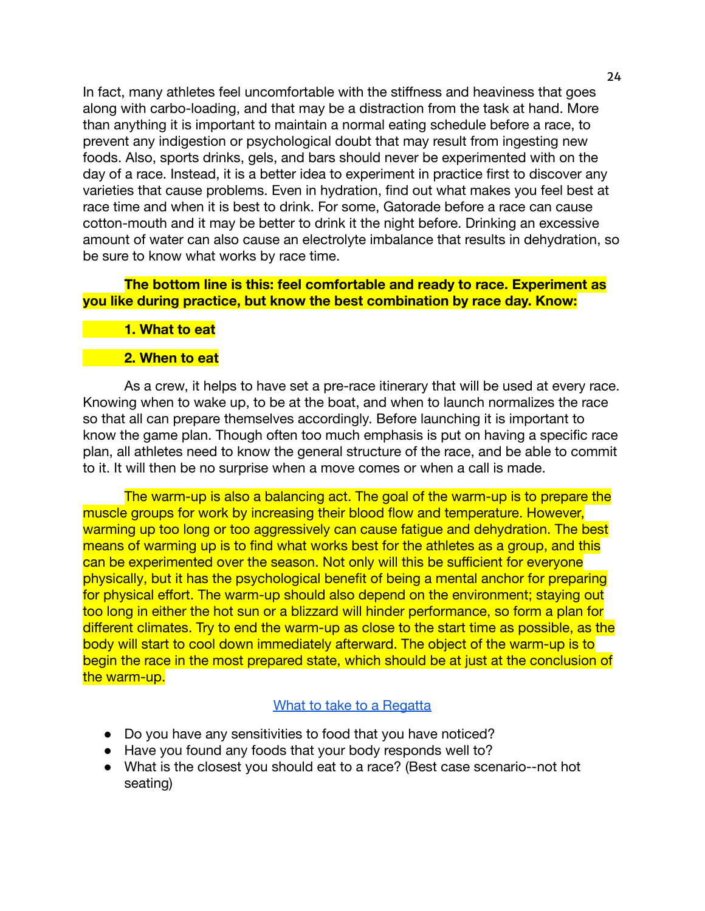In fact, many athletes feel uncomfortable with the stiffness and heaviness that goes along with carbo-loading, and that may be a distraction from the task at hand. More than anything it is important to maintain a normal eating schedule before a race, to prevent any indigestion or psychological doubt that may result from ingesting new foods. Also, sports drinks, gels, and bars should never be experimented with on the day of a race. Instead, it is a better idea to experiment in practice first to discover any varieties that cause problems. Even in hydration, find out what makes you feel best at race time and when it is best to drink. For some, Gatorade before a race can cause cotton-mouth and it may be better to drink it the night before. Drinking an excessive amount of water can also cause an electrolyte imbalance that results in dehydration, so be sure to know what works by race time.

#### **The bottom line is this: feel comfortable and ready to race. Experiment as you like during practice, but know the best combination by race day. Know:**

#### **1. What to eat**

#### **2. When to eat**

As a crew, it helps to have set a pre-race itinerary that will be used at every race. Knowing when to wake up, to be at the boat, and when to launch normalizes the race so that all can prepare themselves accordingly. Before launching it is important to know the game plan. Though often too much emphasis is put on having a specific race plan, all athletes need to know the general structure of the race, and be able to commit to it. It will then be no surprise when a move comes or when a call is made.

The warm-up is also a balancing act. The goal of the warm-up is to prepare the muscle groups for work by increasing their blood flow and temperature. However, warming up too long or too aggressively can cause fatigue and dehydration. The best means of warming up is to find what works best for the athletes as a group, and this can be experimented over the season. Not only will this be sufficient for everyone physically, but it has the psychological benefit of being a mental anchor for preparing for physical effort. The warm-up should also depend on the environment; staying out too long in either the hot sun or a blizzard will hinder performance, so form a plan for different climates. Try to end the warm-up as close to the start time as possible, as the body will start to cool down immediately afterward. The object of the warm-up is to begin the race in the most prepared state, which should be at just at the conclusion of the warm-up.

#### [What to take to a Regatta](https://docs.google.com/document/d/1P98Yu99nEK2P2eR8mFBwwzxI-wsDE-FaVKUI3ma4yPM/edit?usp=sharing)

- Do you have any sensitivities to food that you have noticed?
- Have you found any foods that your body responds well to?
- What is the closest you should eat to a race? (Best case scenario--not hot seating)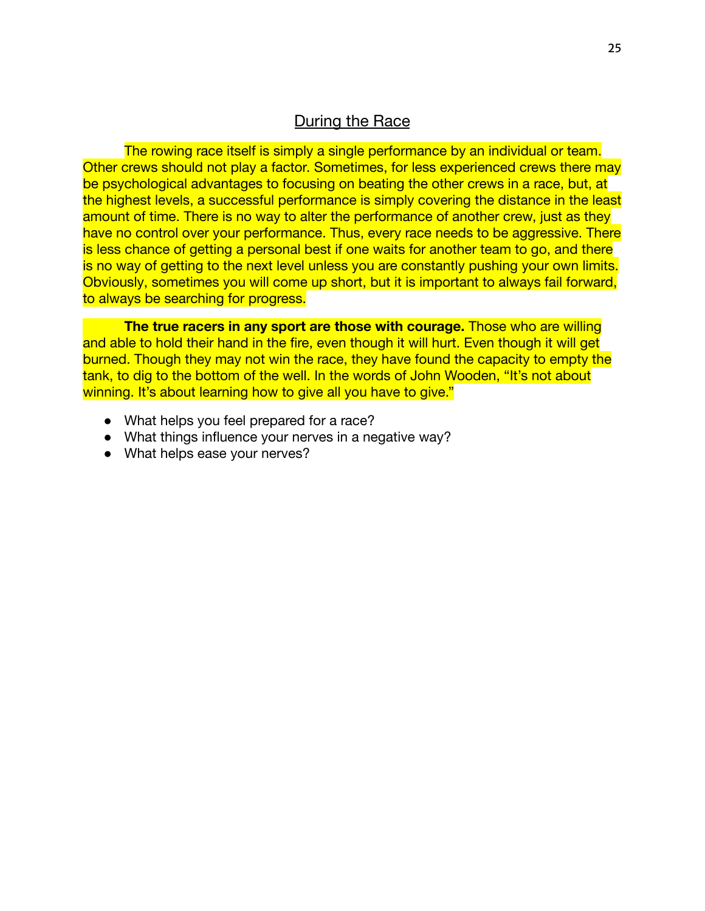# **During the Race**

The rowing race itself is simply a single performance by an individual or team. Other crews should not play a factor. Sometimes, for less experienced crews there may be psychological advantages to focusing on beating the other crews in a race, but, at the highest levels, a successful performance is simply covering the distance in the least amount of time. There is no way to alter the performance of another crew, just as they have no control over your performance. Thus, every race needs to be aggressive. There is less chance of getting a personal best if one waits for another team to go, and there is no way of getting to the next level unless you are constantly pushing your own limits. Obviously, sometimes you will come up short, but it is important to always fail forward, to always be searching for progress.

**The true racers in any sport are those with courage.** Those who are willing and able to hold their hand in the fire, even though it will hurt. Even though it will get burned. Though they may not win the race, they have found the capacity to empty the tank, to dig to the bottom of the well. In the words of John Wooden, "It's not about winning. It's about learning how to give all you have to give."

- What helps you feel prepared for a race?
- What things influence your nerves in a negative way?
- What helps ease your nerves?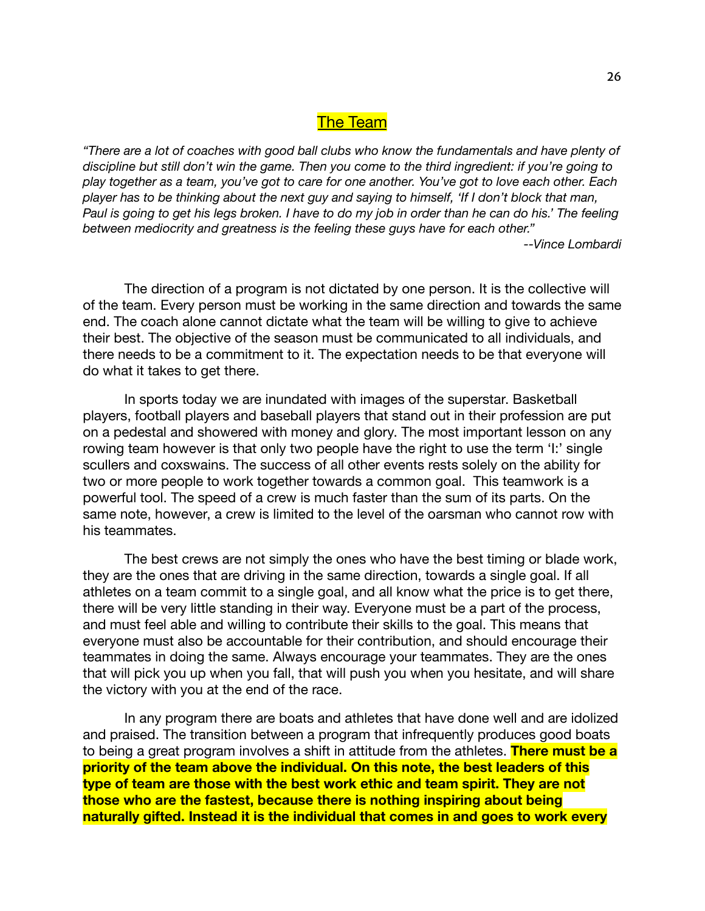# The Team

*"There are a lot of coaches with good ball clubs who know the fundamentals and have plenty of discipline but still don't win the game. Then you come to the third ingredient: if you're going to* play together as a team, you've got to care for one another. You've got to love each other. Each player has to be thinking about the next guy and saying to himself, 'If I don't block that man, Paul is going to get his legs broken. I have to do my job in order than he can do his.' The feeling *between mediocrity and greatness is the feeling these guys have for each other." --Vince Lombardi*

The direction of a program is not dictated by one person. It is the collective will of the team. Every person must be working in the same direction and towards the same end. The coach alone cannot dictate what the team will be willing to give to achieve their best. The objective of the season must be communicated to all individuals, and there needs to be a commitment to it. The expectation needs to be that everyone will do what it takes to get there.

In sports today we are inundated with images of the superstar. Basketball players, football players and baseball players that stand out in their profession are put on a pedestal and showered with money and glory. The most important lesson on any rowing team however is that only two people have the right to use the term 'I:' single scullers and coxswains. The success of all other events rests solely on the ability for two or more people to work together towards a common goal. This teamwork is a powerful tool. The speed of a crew is much faster than the sum of its parts. On the same note, however, a crew is limited to the level of the oarsman who cannot row with his teammates.

The best crews are not simply the ones who have the best timing or blade work, they are the ones that are driving in the same direction, towards a single goal. If all athletes on a team commit to a single goal, and all know what the price is to get there, there will be very little standing in their way. Everyone must be a part of the process, and must feel able and willing to contribute their skills to the goal. This means that everyone must also be accountable for their contribution, and should encourage their teammates in doing the same. Always encourage your teammates. They are the ones that will pick you up when you fall, that will push you when you hesitate, and will share the victory with you at the end of the race.

In any program there are boats and athletes that have done well and are idolized and praised. The transition between a program that infrequently produces good boats to being a great program involves a shift in attitude from the athletes. **There must be a priority of the team above the individual. On this note, the best leaders of this type of team are those with the best work ethic and team spirit. They are not those who are the fastest, because there is nothing inspiring about being naturally gifted. Instead it is the individual that comes in and goes to work every**